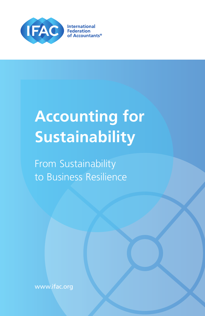

# **Accounting for Sustainability**

From Sustainability to Business Resilience

www.ifac.org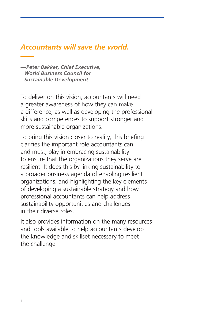### *[Accountants will save the world.](https://www.accountingforsustainability.org/accountants-will-save-the-world-peter-bakker-in-the-harvard-business-review)*

*—Peter Bakker, Chief Executive, World Business Council for Sustainable Development*

To deliver on this vision, accountants will need a greater awareness of how they can make a difference, as well as developing the professional skills and competences to support stronger and more sustainable organizations.

To bring this vision closer to reality, this briefing clarifies the important role accountants can, and must, play in embracing sustainability to ensure that the organizations they serve are resilient. It does this by linking sustainability to a broader business agenda of enabling resilient organizations, and highlighting the key elements of developing a sustainable strategy and how professional accountants can help address sustainability opportunities and challenges in their diverse roles.

It also provides information on the many resources and tools available to help accountants develop the knowledge and skillset necessary to meet the challenge.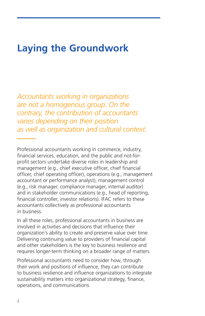### **Laying the Groundwork**

*Accountants working in organizations are not a homogenous group. On the contrary, the contribution of accountants varies depending on their position as well as organization and cultural context.*

Professional accountants working in commerce, industry, financial services, education, and the public and not-forprofit sectors undertake diverse roles in leadership and management (e.g., chief executive officer, chief financial officer, chief operating officer), operations (e.g., management accountant or performance analyst), management control (e.g., risk manager, compliance manager, internal auditor) and in stakeholder communications (e.g., head of reporting, financial controller, investor relations). IFAC refers to these accountants collectively as professional accountants in business.

In all these roles, professional accountants in business are involved in activities and decisions that influence their organization's ability to create and preserve value over time. Delivering continuing value to providers of financial capital and other stakeholders is the key to business resilience and requires longer-term thinking on a broader range of matters.

Professional accountants need to consider how, through their work and positions of influence, they can contribute to business resilience and influence organizations to integrate sustainability matters into organizational strategy, finance, operations, and communications.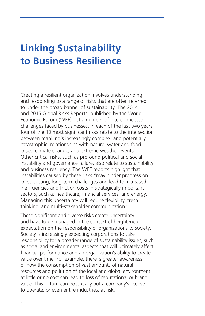### **Linking Sustainability to Business Resilience**

Creating a resilient organization involves understanding and responding to a range of risks that are often referred to under the broad banner of sustainability. The [2014](http://www.weforum.org/reports/global-risks-report-2015)  [and 2015 Global Risks Reports](http://www.weforum.org/reports/global-risks-report-2015), published by the World Economic Forum (WEF), list a number of interconnected challenges faced by businesses. In each of the last two years, four of the 10 most significant risks relate to the intersection between mankind's increasingly complex, and potentially catastrophic, relationships with nature: water and food crises, climate change, and extreme weather events. Other critical risks, such as profound political and social instability and governance failure, also relate to sustainability and business resiliency. The WEF reports highlight that instabilities caused by these risks "may hinder progress on cross-cutting, long-term challenges and lead to increased inefficiencies and friction costs in strategically important sectors, such as healthcare, financial services, and energy. Managing this uncertainty will require flexibility, fresh thinking, and multi-stakeholder communication."

These significant and diverse risks create uncertainty and have to be managed in the context of heightened expectation on the responsibility of organizations to society. Society is increasingly expecting corporations to take responsibility for a broader range of sustainability issues, such as social and environmental aspects that will ultimately affect financial performance and an organization's ability to create value over time. For example, there is greater awareness of how the consumption of vast amounts of natural resources and pollution of the local and global environment at little or no cost can lead to loss of reputational or brand value. This in turn can potentially put a company's license to operate, or even entire industries, at risk.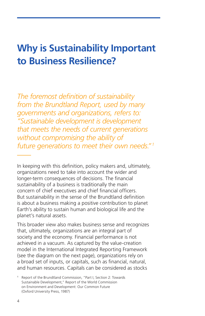### **Why is Sustainability Important to Business Resilience?**

*The foremost definition of sustainability from the Brundtland Report, used by many governments and organizations, refers to: "Sustainable development is development that meets the needs of current generations without compromising the ability of future generations to meet their own needs." <sup>1</sup>*

In keeping with this definition, policy makers and, ultimately, organizations need to take into account the wider and longer-term consequences of decisions. The financial sustainability of a business is traditionally the main concern of chief executives and chief financial officers. But sustainability in the sense of the Brundtland definition is about a business making a positive contribution to planet Earth's ability to sustain human and biological life and the planet's natural assets.

This broader view also makes business sense and recognizes that, ultimately, organizations are an integral part of society and the economy. Financial performance is not achieved in a vacuum. As captured by the value-creation model in the [International Integrated Reporting Framework](http://www.theiirc.org/international-ir-framework/) (see the diagram on the next page), organizations rely on a broad set of inputs, or capitals, such as financial, natural, and human resources. Capitals can be considered as stocks

<sup>1</sup> Report of the Brundtland Commission, "Part I, Section 2: Towards Sustainable Development," [Report of the World Commission](http://www.un-documents.net/wced-ocf.htm)  [on Environment and Development: Our Common Future](http://www.un-documents.net/wced-ocf.htm) (Oxford University Press, 1987)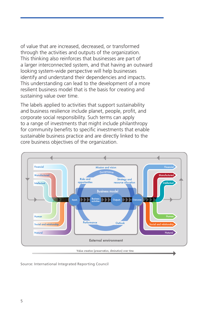of value that are increased, decreased, or transformed through the activities and outputs of the organization. This thinking also reinforces that businesses are part of a larger interconnected system, and that having an outward looking system-wide perspective will help businesses identify and understand their dependencies and impacts. This understanding can lead to the development of a more resilient business model that is the basis for creating and sustaining value over time.

The labels applied to activities that support sustainability and business resilience include planet, people, profit, and corporate social responsibility. Such terms can apply to a range of investments that might include philanthropy for community benefits to specific investments that enable sustainable business practice and are directly linked to the core business objectives of the organization.



Source: [International Integrated Reporting Council](http://integratedreporting.org/the-iirc-2/)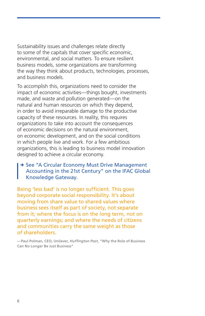Sustainability issues and challenges relate directly to some of the capitals that cover specific economic, environmental, and social matters. To ensure resilient business models, some organizations are transforming the way they think about products, technologies, processes, and business models.

To accomplish this, organizations need to consider the impact of economic activities—things bought, investments made, and waste and pollution generated—on the natural and human resources on which they depend, in order to avoid irreparable damage to the productive capacity of these resources. In reality, this requires organizations to take into account the consequences of economic decisions on the natural environment, on economic development, and on the social conditions in which people live and work. For a few ambitious organizations, this is leading to business model innovation designed to achieve a circular economy.

#### → See "A Circular Economy Must Drive Management [Accounting in the 21st Century"](http://www.ifac.org/global-knowledge-gateway/sustainability/circular-economy-must-drive-management-accounting-21st-centu) on the IFAC Global Knowledge Gateway.

Being 'less bad' is no longer sufficient. This goes beyond corporate social responsibility. It's about moving from share value to shared values where business sees itself as part of society, not separate from it; where the focus is on the long term, not on quarterly earnings; and where the needs of citizens and communities carry the same weight as those of shareholders.

—Paul Polman, CEO, Unilever, *Huffington Post*, ["Why the Role of Business](http://www.huffingtonpost.com/inclusive-capitalism/paul-polman-why-the-role_b_7652954.html)  [Can No Longer Be Just Business"](http://www.huffingtonpost.com/inclusive-capitalism/paul-polman-why-the-role_b_7652954.html)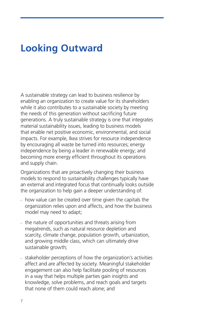### **Looking Outward**

A sustainable strategy can lead to business resilience by enabling an organization to create value for its shareholders while it also contributes to a sustainable society by meeting the needs of this generation without sacrificing future generations. A truly sustainable strategy is one that integrates material sustainability issues, leading to business models that enable net positive economic, environmental, and social impacts. For example, Ikea strives for resource independence by encouraging all waste be turned into resources; energy independence by being a leader in renewable energy; and becoming more energy efficient throughout its operations and supply chain.

Organizations that are proactively changing their business models to respond to sustainability challenges typically have an external and integrated focus that continually looks outside the organization to help gain a deeper understanding of:

- how value can be created over time given the capitals the organization relies upon and affects, and how the business model may need to adapt;
- the nature of opportunities and threats arising from megatrends, such as natural resource depletion and scarcity, climate change, population growth, urbanization, and growing middle class, which can ultimately drive sustainable growth;
- stakeholder perceptions of how the organization's activities affect and are affected by society. Meaningful stakeholder engagement can also help facilitate pooling of resources in a way that helps multiple parties gain insights and knowledge, solve problems, and reach goals and targets that none of them could reach alone; and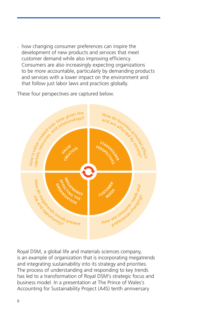how changing consumer preferences can inspire the development of new products and services that meet customer demand while also improving efficiency. Consumers are also increasingly expecting organizations to be more accountable, particularly by demanding products and services with a lower impact on the environment and that follow just labor laws and practices globally.

These four perspectives are captured below.



Royal DSM, a global life and materials sciences company, is an example of organization that is incorporating megatrends and integrating sustainability into its strategy and priorities. The process of understanding and responding to key trends has led to a transformation of Royal DSM's strategic focus and business model. In a presentation at The Prince of Wales's Accounting for Sustainability Project (A4S) tenth anniversary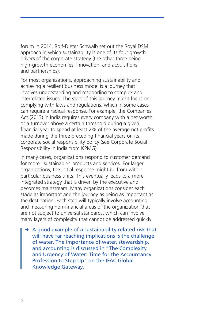forum in 2014, Rolf-Dieter Schwalb set out the [Royal DSM](https://www.dsm.com/content/dam/dsm/cworld/en_US/documents/2014-12-11-presentation-a4s-rolf-dieter-schwalb.pdf) approach in which sustainability is one of its four growth drivers of the corporate strategy (the other three being high-growth economies, innovation, and acquisitions and partnerships).

For most organizations, approaching sustainability and achieving a resilient business model is a journey that involves understanding and responding to complex and interrelated issues. The start of this journey might focus on complying with laws and regulations, which in some cases can require a radical response. For example, the Companies Act (2013) in India requires every company with a net worth or a turnover above a certain threshold during a given financial year to spend at least 2% of the average net profits made during the three preceding financial years on its corporate social responsibility policy (see [Corporate Social](http://www.kpmg.com/CH/Documents/Blog/pub-20140430-csr-india-2014-en.pdf)  [Responsibility in India](http://www.kpmg.com/CH/Documents/Blog/pub-20140430-csr-india-2014-en.pdf) from KPMG).

In many cases, organizations respond to customer demand for more "sustainable" products and services. For larger organizations, the initial response might be from within particular business units. This eventually leads to a more integrated strategy that is driven by the executive and becomes mainstream. Many organizations consider each stage as important and the journey as being as important as the destination. Each step will typically involve accounting and measuring non-financial areas of the organization that are not subject to universal standards, which can involve many layers of complexity that cannot be addressed quickly.

 $\rightarrow$  A good example of a sustainability related risk that will have far reaching implications is the challenge of water. The importance of water, stewardship, and accounting is discussed in ["The Complexity](http://www.ifac.org/global-knowledge-gateway/viewpoints/complexity-and-urgency-water-time-accountancy-profession-step)  [and Urgency of Water: Time for the Accountancy](http://www.ifac.org/global-knowledge-gateway/viewpoints/complexity-and-urgency-water-time-accountancy-profession-step)  [Profession to Step Up](http://www.ifac.org/global-knowledge-gateway/viewpoints/complexity-and-urgency-water-time-accountancy-profession-step)" on the IFAC Global Knowledge Gateway.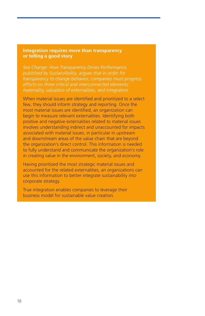#### **Integration requires more than transparency or telling a good story**

*See Change: How Transparency Drives Performance, published by SustainAbility, argues that in order for transparency to change behavior, companies must progress efforts on three critical and interconnected elements: materiality, valuation of externalities, and integration.*

When material issues are identified and prioritized to a select few, they should inform strategy and reporting. Once the most material issues are identified, an organization can begin to measure relevant externalities. Identifying both positive and negative externalities related to material issues involves understanding indirect and unaccounted for impacts associated with material issues, in particular in upstream and downstream areas of the value chain that are beyond the organization's direct control. This information is needed to fully understand and communicate the organization's role in creating value in the environment, society, and economy.

Having prioritized the most strategic material issues and accounted for the related externalities, an organizations can use this information to better integrate sustainability into corporate strategy.

True integration enables companies to leverage their business model for sustainable value creation.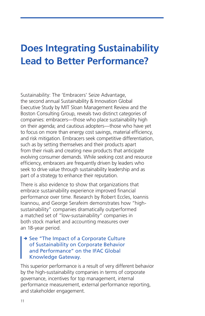### **Does Integrating Sustainability Lead to Better Performance?**

[Sustainability: The 'Embracers' Seize Advantage](http://sloanreview.mit.edu/reports/sustainability-advantage/), the second annual Sustainability & Innovation Global Executive Study by MIT Sloan Management Review and the Boston Consulting Group, reveals two distinct categories of companies: embracers—those who place sustainability high on their agenda; and cautious adopters—those who have yet to focus on more than energy cost savings, material efficiency, and risk mitigation. Embracers seek competitive differentiation, such as by setting themselves and their products apart from their rivals and creating new products that anticipate evolving consumer demands. While seeking cost and resource efficiency, embracers are frequently driven by leaders who seek to drive value through sustainability leadership and as part of a strategy to enhance their reputation.

There is also evidence to show that organizations that embrace sustainability experience improved financial performance over time. Research by Robert Eccles, Ioannis Ioannou, and George Serafeim demonstrates how "highsustainability" companies dramatically outperformed a matched set of "low-sustainability" companies in both stock market and accounting measures over an 18-year period.

#### → See "The Impact of a Corporate Culture [of Sustainability on Corporate Behavior](http://hbswk.hbs.edu/item/6865.html)  [and Performance](http://hbswk.hbs.edu/item/6865.html)" on the IFAC Global Knowledge Gateway.

This superior performance is a result of very different behavior by the high-sustainability companies in terms of corporate governance, incentives for top management, internal performance measurement, external performance reporting, and stakeholder engagement.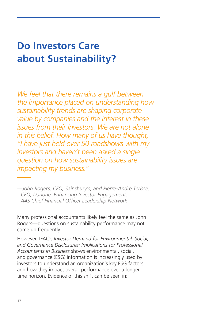### **Do Investors Care about Sustainability?**

*We feel that there remains a gulf between the importance placed on understanding how sustainability trends are shaping corporate value by companies and the interest in these issues from their investors. We are not alone in this belief. How many of us have thought, "I have just held over 50 roadshows with my investors and haven't been asked a single question on how sustainability issues are impacting my business."*

*—John Rogers, CFO, Sainsbury's, and Pierre-André Terisse, CFO, Danone, [Enhancing Investor Engagement](https://www.accountingforsustainability.org/wp-content/uploads/2015/03/A4S-investor-engagement-Mar15v2.pdf), A4S Chief Financial Officer Leadership Network*

Many professional accountants likely feel the same as John Rogers—questions on sustainability performance may not come up frequently.

However, IFAC's *[Investor Demand for Environmental, Social,](http://www.ifac.org/publications-resources/investor-demand-environmental-social-and-governance-esg-disclosures)  [and Governance Disclosures: Implications for Professional](http://www.ifac.org/publications-resources/investor-demand-environmental-social-and-governance-esg-disclosures)  [Accountants in Business](http://www.ifac.org/publications-resources/investor-demand-environmental-social-and-governance-esg-disclosures)* shows environmental, social, and governance (ESG) information is increasingly used by investors to understand an organization's key ESG factors and how they impact overall performance over a longer time horizon. Evidence of this shift can be seen in: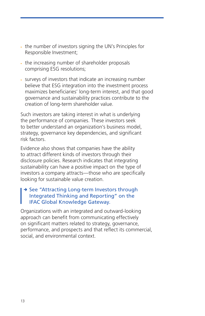- the number of investors signing the UN's Principles for Responsible Investment;
- the increasing number of shareholder proposals comprising ESG resolutions;
- surveys of investors that indicate an increasing number believe that ESG integration into the investment process maximizes beneficiaries' long-term interest, and that good governance and sustainability practices contribute to the creation of long-term shareholder value.

Such investors are taking interest in what is underlying the performance of companies. These investors seek to better understand an organization's business model, strategy, governance key dependencies, and significant risk factors.

Evidence also shows that companies have the ability to attract different kinds of investors through their disclosure policies. Research indicates that integrating sustainability can have a positive impact on the type of investors a company attracts—those who are specifically looking for sustainable value creation.

#### → See "Attracting Long-term Investors through [Integrated Thinking and Reporting"](http://www.ifac.org/global-knowledge-gateway/business-reporting/attracting-long-term-investors-through-integrated-thinki) on the IFAC Global Knowledge Gateway.

Organizations with an integrated and outward-looking approach can benefit from communicating effectively on significant matters related to strategy, governance, performance, and prospects and that reflect its commercial, social, and environmental context.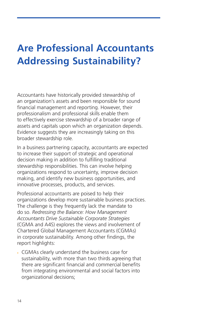## **Are Professional Accountants Addressing Sustainability?**

Accountants have historically provided stewardship of an organization's assets and been responsible for sound financial management and reporting. However, their professionalism and professional skills enable them to effectively exercise stewardship of a broader range of assets and capitals upon which an organization depends. Evidence suggests they are increasingly taking on this broader stewardship role.

In a business partnering capacity, accountants are expected to increase their support of strategic and operational decision making in addition to fulfilling traditional stewardship responsibilities. This can involve helping organizations respond to uncertainty, improve decision making, and identify new business opportunities, and innovative processes, products, and services.

Professional accountants are poised to help their organizations develop more sustainable business practices. The challenge is they frequently lack the mandate to do so. *[Redressing the Balance: How Management](http://www.cgma.org/Resources/Reports/Pages/redressing-the-balance.aspx)  [Accountants Drive Sustainable Corporate Strategies](http://www.cgma.org/Resources/Reports/Pages/redressing-the-balance.aspx)* (CGMA and A4S) explores the views and involvement of Chartered Global Management Accountants (CGMAs) in corporate sustainability. Among other findings, the report highlights:

• CGMAs clearly understand the business case for sustainability, with more than two thirds agreeing that there are significant financial and commercial benefits from integrating environmental and social factors into organizational decisions;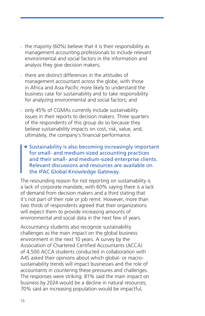- the majority (60%) believe that it is their responsibility as management accounting professionals to include relevant environmental and social factors in the information and analysis they give decision makers;
- there are distinct differences in the attitudes of management accountant across the globe, with those in Africa and Asia Pacific more likely to understand the business case for sustainability and to take responsibility for analyzing environmental and social factors; and
- only 45% of CGMAs currently include sustainability issues in their reports to decision makers. Three quarters of the respondents of this group do so because they believe sustainability impacts on cost, risk, value, and, ultimately, the company's financial performance.
	- $\rightarrow$  Sustainability is also becoming increasingly important for small- and medium-sized accounting practices and their small- and medium-sized enterprise clients. Relevant discussions and resources are available on the IFAC Global Knowledge Gateway.

The resounding reason for not reporting on sustainability is a lack of corporate mandate, with 60% saying there is a lack of demand from decision makers and a third stating that it's not part of their role or job remit. However, more than two thirds of respondents agreed that their organizations will expect them to provide increasing amounts of environmental and social data in the next few of years.

Accountancy students also recognize sustainability challenges as the main impact on the global business environment in the next 10 years. A [survey by the](http://www.accaglobal.com/uk/en/discover/news/2014/12/sustainability-a4s.html?from=XX)  [Association of Chartered Certified Accountants \(ACCA\)](http://www.accaglobal.com/uk/en/discover/news/2014/12/sustainability-a4s.html?from=XX) of 4,500 ACCA students conducted in collaboration with A4S asked their opinions about which global- or macrosustainability trends will impact businesses and the role of accountants in countering these pressures and challenges. The responses were striking: 81% said the main impact on business by 2024 would be a decline in natural resources; 70% said an increasing population would be impactful,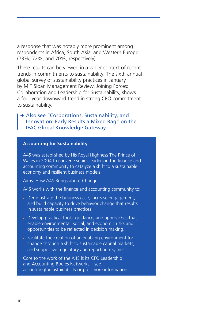a response that was notably more prominent among respondents in Africa, South Asia, and Western Europe (73%, 72%, and 70%, respectively).

These results can be viewed in a wider context of recent trends in commitments to sustainability. The sixth annual global survey of sustainability practices in January by MIT Sloan Management Review, [Joining Forces:](http://sloanreview.mit.edu/projects/joining-forces/)  [Collaboration and Leadership for Sustainability](http://sloanreview.mit.edu/projects/joining-forces/), shows a four-year downward trend in strong CEO commitment to sustainability.

#### → Also see "Corporations, Sustainability, and [Innovation: Early Results a Mixed Bag"](http://www.ifac.org/global-knowledge-gateway/viewpoints/corporations-sustainability-and-innovation-early-results-mixed-b) on the IFAC Global Knowledge Gateway.

#### **Accounting for Sustainability**

A4S was established by His Royal Highness The Prince of Wales in 2004 to convene senior leaders in the finance and accounting community to catalyze a shift to a sustainable economy and resilient business models.

Aims: How A4S Brings about Change

A4S works with the finance and accounting community to:

- Demonstrate the business case, increase engagement, and build capacity to drive behavior change that results in sustainable business practices.
- Develop practical tools, guidance, and approaches that enable environmental, social, and economic risks and opportunities to be reflected in decision making.
- Facilitate the creation of an enabling environment for change through a shift to sustainable capital markets, and supportive regulatory and reporting regimes.

Core to the work of the A4S is its CFO Leadership and Accounting Bodies Networks—see [accountingforsustainability.org](http://accountingforsustainability.org) for more information.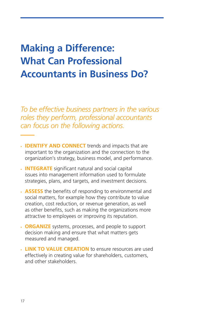## **Making a Difference: What Can Professional Accountants in Business Do?**

*To be effective business partners in the various roles they perform, professional accountants can focus on the following actions.* 

- **IDENTIFY AND CONNECT** trends and impacts that are important to the organization and the connection to the organization's strategy, business model, and performance.
- **INTEGRATE** significant natural and social capital issues into management information used to formulate strategies, plans, and targets, and investment decisions.
- **ASSESS** the benefits of responding to environmental and social matters, for example how they contribute to value creation, cost reduction, or revenue generation, as well as other benefits, such as making the organizations more attractive to employees or improving its reputation.
- **ORGANIZE** systems, processes, and people to support decision making and ensure that what matters gets measured and managed.
- **LINK TO VALUE CREATION** to ensure resources are used effectively in creating value for shareholders, customers, and other stakeholders.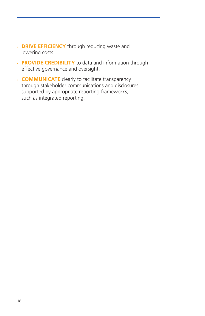- **DRIVE EFFICIENCY** through reducing waste and lowering costs.
- **PROVIDE CREDIBILITY** to data and information through effective governance and oversight.
- **COMMUNICATE** clearly to facilitate transparency through stakeholder communications and disclosures supported by appropriate reporting frameworks, such as integrated reporting.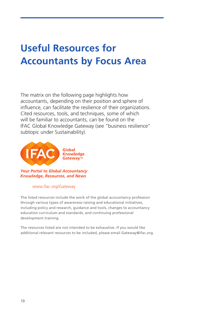## **Useful Resources for Accountants by Focus Area**

The matrix on the following page highlights how accountants, depending on their position and sphere of influence, can facilitate the resilience of their organizations. Cited resources, tools, and techniques, some of which will be familiar to accountants, can be found on the [IFAC Global Knowledge Gateway](http://www.ifac.org/global-knowledge-gateway) (see "business resilience" subtopic under Sustainability).



#### www.ifac.org/Gateway

The listed resources include the work of the global accountancy profession through various types of awareness-raising and educational initiatives, including policy and research, guidance and tools, changes to accountancy education curriculum and standards, and continuing professional development training.

The resources listed are not intended to be exhaustive. If you would like additional relevant resources to be included, please email Gateway@ifac.org.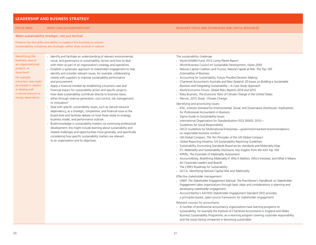#### **LEADERSHIP AND BUSINESS STRATEGY**

#### FOCUS AREA WHAT CAN ACCOUNTANTS DO? RELEVANT TOOLS AND TECHNIQUES AND USEFUL RESOURCES

*Make sustainability strategic, not just tactical*

Finance has the skills and ability to support the business to ensure sustainability initiatives are strategic rather than tactical in nature.

Identifying the business case at an organizational, project, or issue level *For example, a business case might be needed in relation to dealing with a natural resource or energy dependency*

- Identify and facilitate an understanding of relevant environmental, social, and governance or sustainability, factors and how to deal with them as part of an organization's strategy and operations. • Establish a systematic approach to stakeholder engagement to help identify and consider relevant issues, for example, collaborating closely with suppliers to improve sustainability performance and procurement.
- Apply a financial mindset by establishing a business case and financial impact for sustainability action and specific projects. How does sustainability contribute directly to business value, either through revenue generation, cost control, risk management, or innovation?
	- Deal with specific sustainability issues, such as natural resource dependency, as a strategic, competitive, and financial issue at the board level and facilitate debate on how these relate to strategy, business model, and performance outlook.
	- Build knowledge in sustainability matters via continuing professional development; this might include learning about sustainability and related challenges and opportunities more generally, and specifically considering how specific sustainability matters are relevant to an organization and its objectives.

The sustainability challenge:

- World Wildlife Fund, 2012 *Living Planet Report*
- World Business Council on Sustainable Development, *Vision 2050*
- Natural Capital Coalition and Trucost, *Natural Capital at Risk: The Top 100 Externalities of Business*
- Accounting for Sustainability, *Future Proofed Decision Making*
- Chartered Accountants Australia and New Zealand, *20 Issues on Building a Sustainable Business and Integrating Sustainability—A Case Study Approach*
- World Economic Forum, *Global Risks Reports 2014 and 2015*
- Risky Business, *The Economic Risks of Climate Change in the United States*
- Mercer, *2015 Study: Climate Change*

Identifying and prioritizing issues:

- IFAC, *Investor Demand for Environmental, Social, and Governance Disclosures: Implications for Professional Accountants in Business*
- Sigma Guide to Sustainability Issues
- International Organization for Standardization (ISO) 26000: 2010— Guidelines for Social Responsibility
- OECD Guidelines for Multinational Enterprises—government-backed recommendations on responsible business conduct
- UN Global Compact, *The Ten Principles of the UN Global Compact*
- Global Reporting Initiative, G4 Sustainability Reporting Guidelines
- Sustainability Accounting Standards Board sector standards and Materiality Map
- EY, *Materiality and Sustainability Disclosure, Key Insights from the ASX Top 100*
- KPMG, *The Essentials of Materiality Assessment*
- AccountAbility, *Redefining Materiality II: Why It Matters, Who's Involved, and What it Means for Corporate Leaders and Boards*
- The CERES Roadmap for Sustainability
- ACCA, *Identifying Natural Capital Risk and Materiality*

Effective stakeholder management:

- UNEP, *The Stakeholder Engagement Manual: The Practitioner's Handbook on Stakeholder Engagement* takes organizations through basic steps and considerations in planning and developing stakeholder engagement.
- AccountAbility's AA1000 *Stakeholder Engagement Standard (SES)* provides a principles-based, open-source framework for stakeholder engagement.

Relevant courses for accountants:

• A number of professional accountancy organizations have learning programs on sustainability, for example the Institute of Chartered Accountants in England and Wales Business Sustainability Programme, an e-learning program covering corporate responsibility and the issues facing companies in becoming sustainable.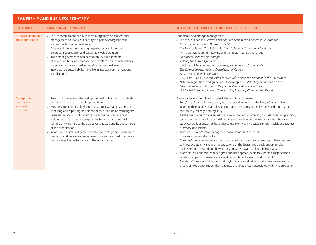#### **LEADERSHIP AND BUSINESS STRATEGY**

| <b>FOCUS AREA</b>                                   | <b>WHAT CAN ACCOUNTANTS DO?</b>                                                                                                                                                                                                                                                                                                                                                                                                                                                                                                                                                                                                                                                                      | RELEVANT TOOLS AND TECHNIQUES AND USEFUL RESOURCES                                                                                                                                                                                                                                                                                                                                                                                                                                                                                                                                                                                                                                                                                                                                                                                                                                                                                                                                                                                                                                                                                                                                                                                                                                                                                                                       |
|-----------------------------------------------------|------------------------------------------------------------------------------------------------------------------------------------------------------------------------------------------------------------------------------------------------------------------------------------------------------------------------------------------------------------------------------------------------------------------------------------------------------------------------------------------------------------------------------------------------------------------------------------------------------------------------------------------------------------------------------------------------------|--------------------------------------------------------------------------------------------------------------------------------------------------------------------------------------------------------------------------------------------------------------------------------------------------------------------------------------------------------------------------------------------------------------------------------------------------------------------------------------------------------------------------------------------------------------------------------------------------------------------------------------------------------------------------------------------------------------------------------------------------------------------------------------------------------------------------------------------------------------------------------------------------------------------------------------------------------------------------------------------------------------------------------------------------------------------------------------------------------------------------------------------------------------------------------------------------------------------------------------------------------------------------------------------------------------------------------------------------------------------------|
| <b>Facilitate leadership</b><br>and commitment      | Secure commitment and buy-in from organization leaders and<br>management so that sustainability is a part of doing business<br>and supports business resilience.<br>- Create a vision and supporting organizational culture that<br>embraces sustainability and sustainable value creation.<br>· Implement governance and accountability arrangements<br>at governing body and management levels to ensure sustainability<br>considerations are embedded at all organizational levels.<br>Incorporate a sustainability narrative in investor communications<br>and dialogue.                                                                                                                         | Leadership and change management:<br>- Dutch Sustainability Growth Coalition, Leadership and Corporate Governance<br>for Sustainable Growth Business Models<br>- Conference Board, The Role of Business in Society: An Agenda for Action<br>MIT Sloan Management Review and the Boston Consulting Group,<br><b>Embracers Seize the Advantage</b><br>- Volans, The Future Quotient<br>- Institute of Management Accountants, Implementing Sustainability:<br>The Role of Leadership and Organizational Culture<br>- A4S, CFO Leadership Network<br>· IFAC, CIMA, and EY, Accounting for Natural Capital: The Elephant in the Boardroom<br>National regulations and guidelines, for example the Voluntary Guidelines on Social,<br>Environmental, and Economic Responsibilities of Business in India<br>• UN Global Compact, Impact: Transforming Business, Changing the World                                                                                                                                                                                                                                                                                                                                                                                                                                                                                             |
| Engage the<br>finance and<br>accounting<br>function | - Reach out to sustainability and operational colleagues to establish<br>how the finance team could support them.<br>Provide support on establishing robust processes and systems for<br>capturing and reporting non-financial data, and demonstrating the<br>financial implications of decisions or various courses of action.<br>Help others speak the language of the business, and connect<br>sustainability matters to the objectives, strategy and business model<br>of the organization.<br>- Incorporate sustainability matters into the strategic and operational<br>metrics that drive value creation over time and are used to monitor<br>and manage the performance of the organization. | Case studies on the role of sustainability and finance teams:<br>- Perry's Ice Cream's finance team, as an essential member of the Perry's Sustainability<br>Team, gathers and evaluates key performance measures and milestones and reports them<br>consistently, reliably, and regularly.<br>- Asda's finance team plays an intrinsic role in the decision-making process including planning,<br>testing, and roll-out of sustainability programs, such as zero waste to landfill. The case<br>study covers four sustainability projects and plenty of invaluable sample models and project<br>summary documents.<br>- Adnams Brewery's retail management accountant is at the heart<br>of its environmental activities.<br>- Compass' management accountant calculated the potential cost savings of the investment<br>to introduce steam valve technology to one of the largest food and support service<br>businesses in the world and how a tracking system was used to minimize waste.<br>• Marshalls plc's finance team designed and used spreadsheets to support a major carbon<br>labelling project to generate a relevant carbon label for each product family.<br>- Sainsbury's finance, agriculture, and buying teams worked with dairy farmers to develop<br>a Cost of Production model that readjusts the volatile costs associated with milk production. |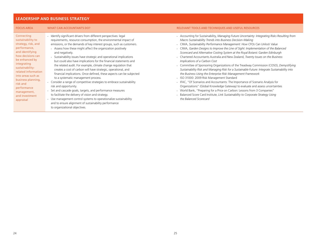#### **LEADERSHIP AND BUSINESS STRATEGY**

| <b>FOCUS AREA</b>                                                                                                                                                                                                                                                                                              | <b>WHAT CAN ACCOUNTANTS DO?</b>                                                                                                                                                                                                                                                                                                                                                                                                                                                                                                                                                                                                                                                                                                                                                                                                                                                                                                                                                                                                                                                     | RELEVANT TOOLS AND TECHNIQUES AND USEFUL RESOURCES                                                                                                                                                                                                                                                                                                                                                                                                                                                                                                                                                                                                                                                                                                                                                                                                                                                                                                                                                                                                                                                                                                                                                          |
|----------------------------------------------------------------------------------------------------------------------------------------------------------------------------------------------------------------------------------------------------------------------------------------------------------------|-------------------------------------------------------------------------------------------------------------------------------------------------------------------------------------------------------------------------------------------------------------------------------------------------------------------------------------------------------------------------------------------------------------------------------------------------------------------------------------------------------------------------------------------------------------------------------------------------------------------------------------------------------------------------------------------------------------------------------------------------------------------------------------------------------------------------------------------------------------------------------------------------------------------------------------------------------------------------------------------------------------------------------------------------------------------------------------|-------------------------------------------------------------------------------------------------------------------------------------------------------------------------------------------------------------------------------------------------------------------------------------------------------------------------------------------------------------------------------------------------------------------------------------------------------------------------------------------------------------------------------------------------------------------------------------------------------------------------------------------------------------------------------------------------------------------------------------------------------------------------------------------------------------------------------------------------------------------------------------------------------------------------------------------------------------------------------------------------------------------------------------------------------------------------------------------------------------------------------------------------------------------------------------------------------------|
| Connecting<br>sustainability to<br>strategy, risk, and<br>performance,<br>and identifying<br>how decisions can<br>be enhanced by<br>integrating<br>sustainability-<br>related information<br>into areas such as<br>business planning,<br>risk and<br>performance<br>management,<br>and investment<br>appraisal | - Identify significant drivers from different perspectives: legal<br>requirements, resource consumption, the environmental impact of<br>emissions, or the demands of key interest groups, such as customers.<br>- Assess how these might affect the organization positively<br>and negatively.<br>. Sustainability issues have strategic and operational implications<br>but could also have implications for the financial statements and<br>the related audit. For example, climate change regulation that<br>creates a cost of carbon will have strategic, operational, and<br>financial implications. Once defined, these aspects can be subjected<br>to a systematic management process.<br>- Consider a range of competitive strategies to embrace sustainability<br>risk and opportunity.<br>. Set and cascade goals, targets, and performance measures<br>to facilitate the delivery of vision and strategy.<br>- Use management control systems to operationalize sustainability<br>and to ensure alignment of sustainability performance<br>to organizational objectives. | - Accounting for Sustainability, Managing Future Uncertainty: Integrating Risks Resulting from<br>Macro Sustainability Trends into Business Decision-Making<br>- CIMA, Sustainability Performance Management: How CFOs Can Unlock Value<br>- CIMA, Garden Designs to Improve the Line of Sight: Implementation of the Balanced<br>Scorecard and Alternative Costing System at the Royal Botanic Garden Edinburgh<br>Chartered Accountants Australia and New Zealand, Twenty Issues on the Business<br>Implications of a Carbon Cost<br>- Committee of Sponsoring Organizations of the Treadway Commission (COSO), Demystifying<br>Sustainability Risk and Managing Risk for a Sustainable Future: Integrate Sustainability into<br>the Business Using the Enterprise Risk Management Framework<br>- ISO 31000: 2009 Risk Management Standard<br>- IFAC, "Of Scenarios and Accountants: The Importance of Scenario Analysis for<br>Organizations" (Global Knowledge Gateway) to evaluate and assess uncertainties<br>• World Bank, "Preparing for a Price on Carbon: Lessons from 3 Companies"<br>- Balanced Score Card Institute, Link Sustainability to Corporate Strategy Using<br>the Balanced Scorecard |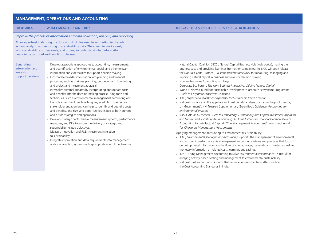#### **MANAGEMENT, OPERATIONS AND ACCOUNTING**

#### *Improve the process of information and data collection, analysis, and reporting*

Finance professionals bring the rigor and discipline used in accounting to the collection, analysis, and reporting of sustainability data. They need to work closely with sustainability professionals, and others, to understand what information needs to be captured and how it is to be used.

#### **Generating** information and analysis to

support decisions

- Develop appropriate approaches to accounting, measurement, and quantification of environmental, social, and other relevant information and externalities to support decision making. • Incorporate broader information into planning and financial
	- processes, such as business planning, budgeting and forecasting, and project and investment appraisal.
	- Internalize external impacts by incorporating appropriate costs and benefits into the decision-making process using tools and techniques, such as environmental management accounting and lifecycle assessment. Such techniques, in addition to effective stakeholder engagement, can help to identify and quantify costs and benefits, and risks and opportunities related to both current and future strategies and operations.
- Develop strategic performance measurement systems, performance measures, and KPIs to ensure the delivery of strategic and sustainability-related objectives.
- Measure innovation and R&D investment in relation to sustainability.
- Integrate information and data requirements into management and/or accounting systems with appropriate control mechanisms.

#### FOCUS AREA WHAT CAN ACCOUNTANTS DO? RELEVANT TOOLS AND TECHNIQUES AND USEFUL RESOURCES

- Natural Capital Coalition (NCC), Natural Capital Business Hub (web portal), making the business case and providing learnings from other companies; the NCC will soon release the Natural Capital Protocol—a standardized framework for measuring, managing and reporting natural capital in business and investor decision making.
- Human Resources Accounting in Infosys
- Corporate Eco Forum, *The New Business Imperative, Valuing Natural Capital*
- World Business Council for Sustainable Development Corporate Ecosystems Programme, *Guide to Corporate Ecosystem Valuation*
- IFAC, *Project and Investment Appraisal for Sustainable Value Creation*
- National guidance on the application of cost benefit analysis, such as in the public sector, UK Government's HM Treasury Supplementary Green Book Guidance, *Accounting for Environmental Impacts*
- A4S, CAPEX: *A Practical Guide to Embedding Sustainability into Capital Investment Appraisal and Natural and Social Capital Accounting: An Introduction for Financial Decision Makers*
- Accounting for Intellectual Capital, "The Management Accountant" from the *Journal for Chartered Management Accountants*

Applying management accounting to environmental sustainability:

- IFAC, *Environmental Management Accounting* supports the management of environmental and economic performance via management accounting systems and practices that focus on both physical information on the flow of energy, water, materials, and wastes, as well as monetary information on related costs, earnings and savings.
- IFAC, "Using Management Accounting to Drive Environmental Performance" is useful for applying activity-based costing and management to environmental sustainability.
- National cost accounting standards that consider environmental matters, such as the Cost Accounting Standards in India.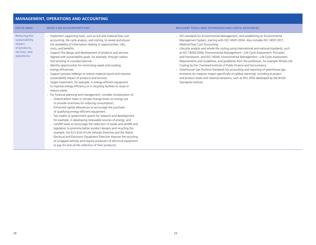### **MANAGEMENT, OPERATIONS AND ACCOUNTING**

| <b>FOCUS AREA</b>                                                                              | <b>WHAT CAN ACCOUNTANTS DO?</b>                                                                                                                                                                                                                                                                                                                                                                                                                                                                                                                                                                                                                                                                                                                                                                                                                                                                                                                                                                                                                                                                                                                                                                                                                                                                                                                                                                                                                                                                                                                                                                                                           | RELEVANT TOOLS AND TECHNIQUES AND USEFUL RESOURCES                                                                                                                                                                                                                                                                                                                                                                                                                                                                                                                                                                                                                                                                                                                                                                                                                                                                                     |
|------------------------------------------------------------------------------------------------|-------------------------------------------------------------------------------------------------------------------------------------------------------------------------------------------------------------------------------------------------------------------------------------------------------------------------------------------------------------------------------------------------------------------------------------------------------------------------------------------------------------------------------------------------------------------------------------------------------------------------------------------------------------------------------------------------------------------------------------------------------------------------------------------------------------------------------------------------------------------------------------------------------------------------------------------------------------------------------------------------------------------------------------------------------------------------------------------------------------------------------------------------------------------------------------------------------------------------------------------------------------------------------------------------------------------------------------------------------------------------------------------------------------------------------------------------------------------------------------------------------------------------------------------------------------------------------------------------------------------------------------------|----------------------------------------------------------------------------------------------------------------------------------------------------------------------------------------------------------------------------------------------------------------------------------------------------------------------------------------------------------------------------------------------------------------------------------------------------------------------------------------------------------------------------------------------------------------------------------------------------------------------------------------------------------------------------------------------------------------------------------------------------------------------------------------------------------------------------------------------------------------------------------------------------------------------------------------|
| <b>Reducing the</b><br>sustainability<br>impact<br>of products,<br>services, and<br>operations | - Implement supporting tools, such as full and material flow cost<br>accounting, life-cycle analysis, and costing, to reveal and ensure<br>the availability of information relating to opportunities, risks,<br>costs, and benefits.<br>• Support the design and development of products and services<br>aligned with sustainability goals, for example, through carbon<br>foot printing of a product/service.<br>· Identify opportunities for minimizing waste and creating<br>energy efficiencies.<br>• Support process redesign to reduce material inputs and improve<br>sustainability impact of products and services.<br>· Target investment, for example, in energy-efficient equipment<br>to improve energy efficiency or in recycling facilities to reuse or<br>reduce waste.<br>For financial planning and management, consider incorporation of:<br>Green/carbon taxes or climate change levies on energy use<br>to provide incentives for reducing consumption;<br>Enhanced capital allowances to encourage the purchase<br>of qualifying energy-efficient equipment;<br>- Tax credits or government grants for research and development,<br>for example, in developing renewable sources of energy; and<br>- Landfill taxes to encourage the reduction of waste and landfill and<br>legislation to promote better product designs and recycling (for<br>example, the EU's End-of-Life Vehicles Directive and the Waste<br>Electrical and Electronic Equipment Directive improve the recycling<br>of scrapped vehicles and require producers of electrical equipment<br>to pay for end-of-life collection of their products). | - ISO standards for Environmental Management, and establishing an Environmental<br>Management System, starting with ISO 14001:2004. Also includes ISO 14051:2011,<br>Material Flow Cost Accounting.<br>- Lifecycle analysis and whole-life costing using international and national standards, such<br>as ISO 14040:2006, Environmental Management-Life Cycle Assessment: Principles<br>and Framework, and ISO 14044, Environmental Management-Life Cycle Assessment:<br>Requirements and Guidelines, and quidelines from the profession, for example Whole-Life<br>Costing by the Chartered Institute of Public Finance and Accountancy.<br>- Greenhouse Gas Protocol Standards for accounting and reporting of greenhouse gas<br>emissions (to measure impact specifically on global warming), including at project<br>and product levels and national variations, such as PAS 2050 developed by the British<br>Standards Institute. |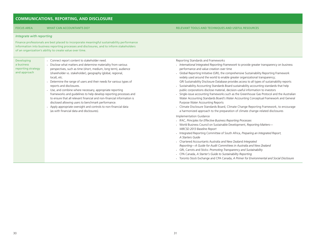#### **COMMUNICATIONS, REPORTING, AND DISCLOSURE**

#### FOCUS AREA WHAT CAN ACCOUNTANTS DO? RELEVANT TOOLS AND TECHNIQUES AND USEFUL RESOURCES

#### *Integrate with reporting*

Finance professionals are best placed to incorporate meaningful sustainability performance information into business reporting processes and disclosures, and to inform stakeholders of an organization's ability to create value over time.

Developing a business reporting strategy and approach

- Connect report content to stakeholder need. • Disclose what matters and determine materiality from various perspectives, such as time (short, medium, long term), audience (shareholder vs. stakeholder), geography (global, regional, local), etc.
- Determine the range of users and their needs for various types of reports and disclosures.
- Use, and combine where necessary, appropriate reporting frameworks and guidelines to help develop reporting processes and to ensure that all relevant financial and non-financial information is disclosed allowing users to benchmark performance.
- Apply appropriate oversight and controls to non-financial data (as with financial data and disclosures).

Reporting Standards and Frameworks

- *International Integrated Reporting Framework* to provide greater transparency on business performance and value creation over time
- Global Reporting Initiative (GRI), the comprehensive Sustainability Reporting Framework widely used around the world to enable greater organizational transparency; GRI Sustainability Disclosure Database provides access to all types of sustainability reports
- Sustainability Accounting Standards Board sustainability accounting standards that help public corporations disclose material, decision-useful information to investors
- Single-issue accounting frameworks such as the Greenhouse Gas Protocol and the Australian Water Accounting Standards Board's Water Accounting Conceptual Framework and General Purpose Water Accounting Reports
- Climate Disclosure Standards Board, Climate Change Reporting Framework, to encourage a harmonized approach to the preparation of climate change-related disclosures

Implementation Guidance

- IFAC, *Principles for Effective Business Reporting Processes*
- World Business Council on Sustainable Development, *Reporting Matters— WBCSD 2013 Baseline Report*
- Integrated Reporting Committee of South Africa, *Preparing an Integrated Report, A Starters Guide*
- Chartered Accountants Australia and New Zealand *Integrated Reporting—A Guide for Audit Committees in Australia and New Zealand*
- GRI, Carrots and Sticks: *Promoting Transparency and Sustainability*
- CPA Canada, *A Starter's Guide to Sustainability Reporting*
- Toronto Stock Exchange and CPA Canada, *A Primer for Environmental and Social Disclosure*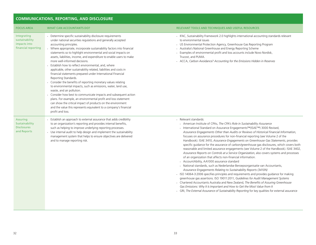### **COMMUNICATIONS, REPORTING, AND DISCLOSURE**

| <b>FOCUS AREA</b>                                                      | <b>WHAT CAN ACCOUNTANTS DO?</b>                                                                                                                                                                                                                                                                                                                                                                                                                                                                                                                                                                                                                                                                                                                                                                                                                                                                                                                                                                                                                                                        | <b>RELEVANT TOOLS AND TECHNIQUES AND USEFUL RESOURCES</b>                                                                                                                                                                                                                                                                                                                                                                                                                                                                                                                                                                                                                                                                                                                                                                                                                                                                                                                                                                                                                                                                                                                                                                                                                                                                                                                                                                                                                |
|------------------------------------------------------------------------|----------------------------------------------------------------------------------------------------------------------------------------------------------------------------------------------------------------------------------------------------------------------------------------------------------------------------------------------------------------------------------------------------------------------------------------------------------------------------------------------------------------------------------------------------------------------------------------------------------------------------------------------------------------------------------------------------------------------------------------------------------------------------------------------------------------------------------------------------------------------------------------------------------------------------------------------------------------------------------------------------------------------------------------------------------------------------------------|--------------------------------------------------------------------------------------------------------------------------------------------------------------------------------------------------------------------------------------------------------------------------------------------------------------------------------------------------------------------------------------------------------------------------------------------------------------------------------------------------------------------------------------------------------------------------------------------------------------------------------------------------------------------------------------------------------------------------------------------------------------------------------------------------------------------------------------------------------------------------------------------------------------------------------------------------------------------------------------------------------------------------------------------------------------------------------------------------------------------------------------------------------------------------------------------------------------------------------------------------------------------------------------------------------------------------------------------------------------------------------------------------------------------------------------------------------------------------|
| Integrating<br>sustainability<br>impacts into<br>financial reporting   | - Determine specific sustainability disclosure requirements<br>under national securities regulations and generally accepted<br>accounting principles.<br>• Where appropriate, incorporate sustainability factors into financial<br>statements so to highlight environmental and social impacts on<br>assets, liabilities, income, and expenditure to enable users to make<br>more well-informed decisions.<br>Establish how to reflect environmental, and, where<br>applicable, other sustainability related, liabilities and costs in<br>financial statements prepared under International Financial<br>Reporting Standards.<br>Consider the benefits of reporting monetary values relating<br>to environmental impacts, such as emissions, water, land use,<br>waste, and air pollution.<br>Consider how best to communicate impacts and subsequent action<br>plans. For example, an environmental profit and loss statement<br>can show the critical impact of products on the environment<br>and the value this represents equivalent to a company's financial<br>profit and loss. | • IFAC, Sustainability Framework 2.0 highlights international accounting standards relevant<br>to environmental issues<br>• US Environmental Protection Agency, Greenhouse Gas Reporting Program<br>- Australia's National Greenhouse and Energy Reporting Scheme<br>Examples of environmental profit and loss accounts include Novo Nordisk,<br>Trucost, and PUMA.<br>- ACCA, Carbon Avoidance? Accounting for the Emissions Hidden in Reserves                                                                                                                                                                                                                                                                                                                                                                                                                                                                                                                                                                                                                                                                                                                                                                                                                                                                                                                                                                                                                         |
| <b>Assuring</b><br>Sustainability<br><b>Disclosures</b><br>and Reports | Establish an approach to external assurance that adds credibility<br>to an organization's reporting and provides internal benefits,<br>such as helping to improve underlying reporting processes.<br>Use internal audit to help design and implement the sustainability<br>management system that helps to ensure objectives are delivered<br>and to manage reporting risk.                                                                                                                                                                                                                                                                                                                                                                                                                                                                                                                                                                                                                                                                                                            | Relevant standards:<br>- American Institute of CPAs, The CPA's Role in Sustainability Assurance<br>· International Standard on Assurance Engagements™(ISAE™) 3000 Revised,<br>Assurance Engagements Other than Audits or Reviews of Historical Financial Information,<br>focuses on assurance procedures for non-financial reporting (see Volume 2 of the<br>Handbook). ISAE 3410, Assurance Engagements on Greenhouse Gas Statements, provides<br>specific guidance for the assurance of carbon/greenhouse gas disclosures, which covers both<br>reasonable and limited assurance engagements (see Volume 2 of the Handbook). ISAE 3402,<br>Assurance Reports on Controls at a Service Organization, also covers systems and processes<br>of an organization that affects non-financial information.<br>• AccountAbility, AA1000 assurance standard<br>· National standards, such as Nederlandse Beroepsorganisatie van Accountants,<br>Assurance Engagements Relating to Sustainability Reports (3410N)<br>· ISO 14064-3:2006 specifies principles and requirements and provides guidance for making<br>greenhouse gas assertions. ISO 19011:2011, Guidelines for Audit Management Systems<br>• Chartered Accountants Australia and New Zealand, The Benefits of Assuring Greenhouse<br>Gas Emissions: Why It Is Important and How to Get the Most Value from It<br>- GRI, The External Assurance of Sustainability Reporting for key qualities for external assurance |